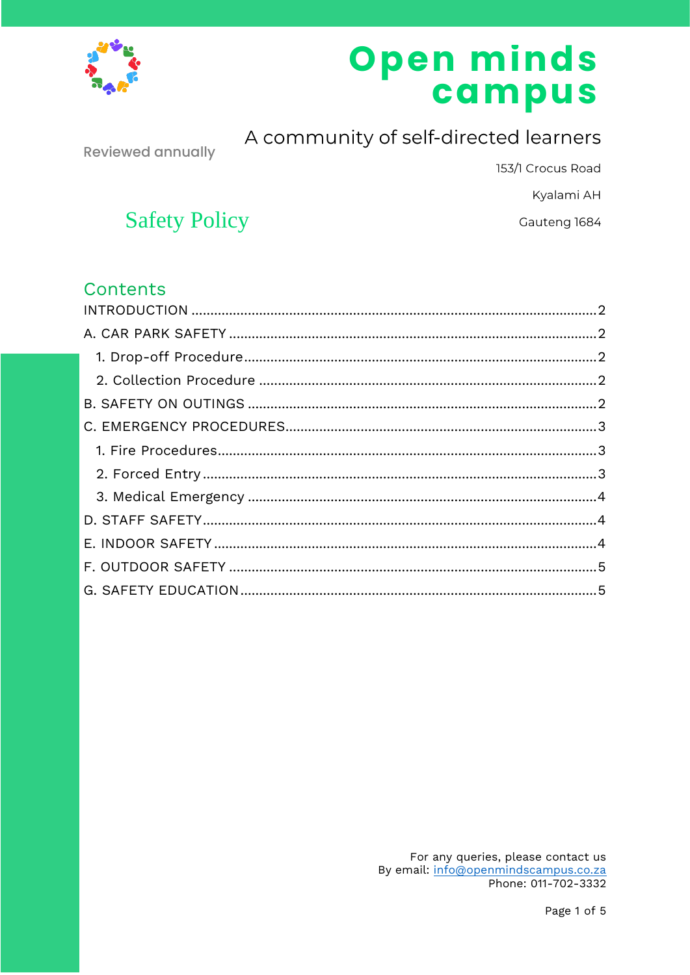

# Open minds<br>campus

**Reviewed annually** 

## A community of self-directed learners

153/1 Crocus Road

Kyalami AH

Gauteng 1684

## **Safety Policy**

## Contents

For any queries, please contact us By email: info@openmindscampus.co.za Phone: 011-702-3332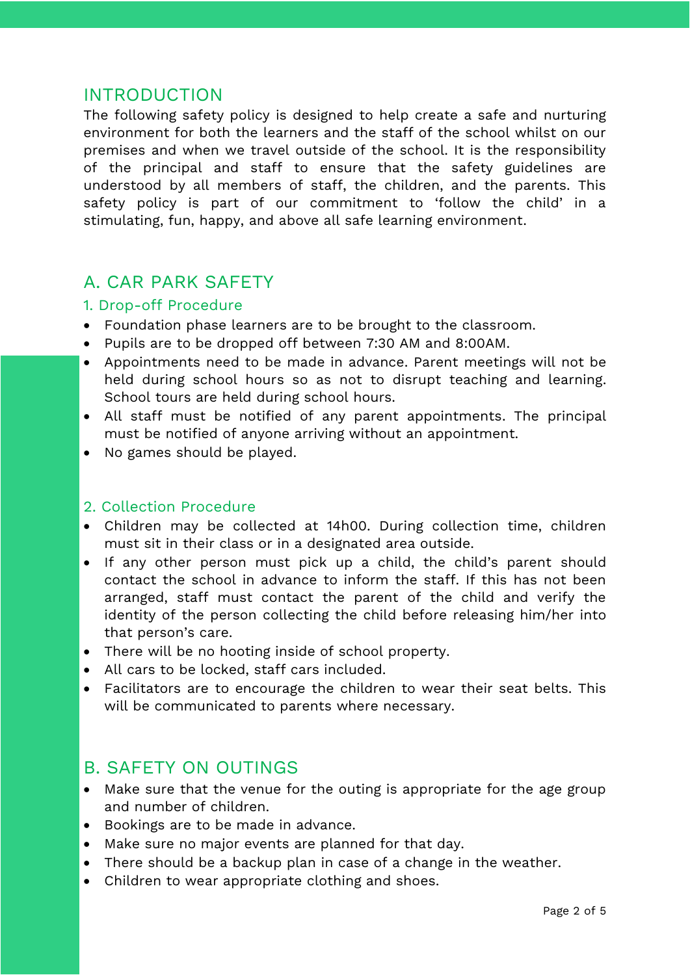#### <span id="page-1-0"></span>INTRODUCTION

The following safety policy is designed to help create a safe and nurturing environment for both the learners and the staff of the school whilst on our premises and when we travel outside of the school. It is the responsibility of the principal and staff to ensure that the safety guidelines are understood by all members of staff, the children, and the parents. This safety policy is part of our commitment to 'follow the child' in a stimulating, fun, happy, and above all safe learning environment.

## <span id="page-1-1"></span>A. CAR PARK SAFETY

#### <span id="page-1-2"></span>1. Drop-off Procedure

- Foundation phase learners are to be brought to the classroom.
- Pupils are to be dropped off between 7:30 AM and 8:00AM.
- Appointments need to be made in advance. Parent meetings will not be held during school hours so as not to disrupt teaching and learning. School tours are held during school hours.
- All staff must be notified of any parent appointments. The principal must be notified of anyone arriving without an appointment.
- No games should be played.

#### <span id="page-1-3"></span>2. Collection Procedure

- Children may be collected at 14h00. During collection time, children must sit in their class or in a designated area outside.
- If any other person must pick up a child, the child's parent should contact the school in advance to inform the staff. If this has not been arranged, staff must contact the parent of the child and verify the identity of the person collecting the child before releasing him/her into that person's care.
- There will be no hooting inside of school property.
- All cars to be locked, staff cars included.
- Facilitators are to encourage the children to wear their seat belts. This will be communicated to parents where necessary.

#### <span id="page-1-4"></span>B. SAFETY ON OUTINGS

- Make sure that the venue for the outing is appropriate for the age group and number of children.
- Bookings are to be made in advance.
- Make sure no major events are planned for that day.
- There should be a backup plan in case of a change in the weather.
- Children to wear appropriate clothing and shoes.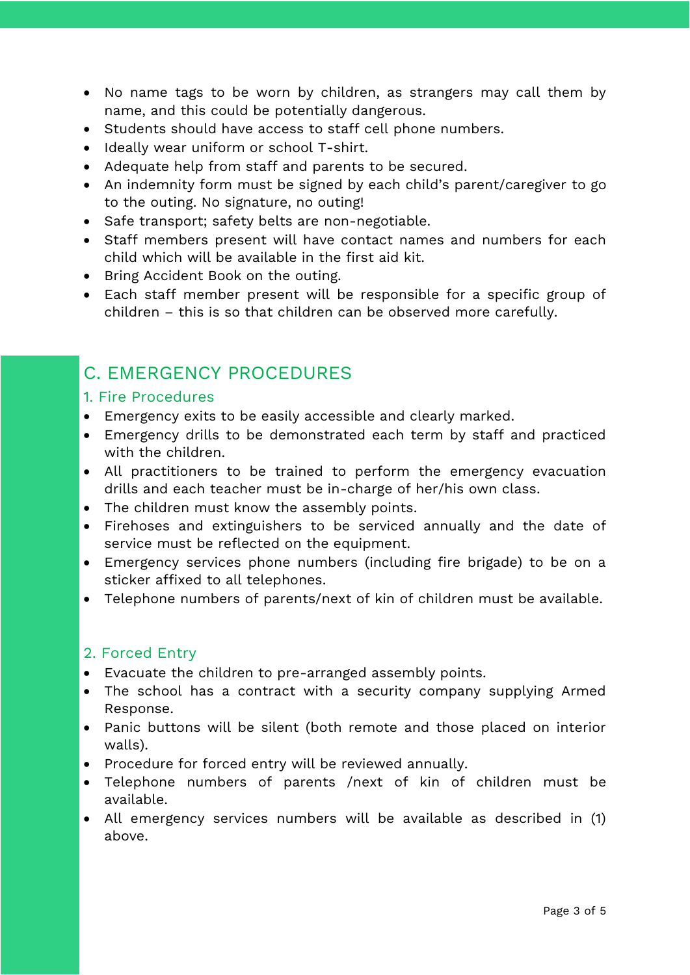- No name tags to be worn by children, as strangers may call them by name, and this could be potentially dangerous.
- Students should have access to staff cell phone numbers.
- Ideally wear uniform or school T-shirt.
- Adequate help from staff and parents to be secured.
- An indemnity form must be signed by each child's parent/caregiver to go to the outing. No signature, no outing!
- Safe transport; safety belts are non-negotiable.
- Staff members present will have contact names and numbers for each child which will be available in the first aid kit.
- Bring Accident Book on the outing.
- Each staff member present will be responsible for a specific group of children – this is so that children can be observed more carefully.

## <span id="page-2-0"></span>C. EMERGENCY PROCEDURES

#### <span id="page-2-1"></span>1. Fire Procedures

- Emergency exits to be easily accessible and clearly marked.
- Emergency drills to be demonstrated each term by staff and practiced with the children.
- All practitioners to be trained to perform the emergency evacuation drills and each teacher must be in-charge of her/his own class.
- The children must know the assembly points.
- Firehoses and extinguishers to be serviced annually and the date of service must be reflected on the equipment.
- Emergency services phone numbers (including fire brigade) to be on a sticker affixed to all telephones.
- Telephone numbers of parents/next of kin of children must be available.

#### <span id="page-2-2"></span>2. Forced Entry

- Evacuate the children to pre-arranged assembly points.
- The school has a contract with a security company supplying Armed Response.
- Panic buttons will be silent (both remote and those placed on interior walls).
- Procedure for forced entry will be reviewed annually.
- Telephone numbers of parents /next of kin of children must be available.
- All emergency services numbers will be available as described in (1) above.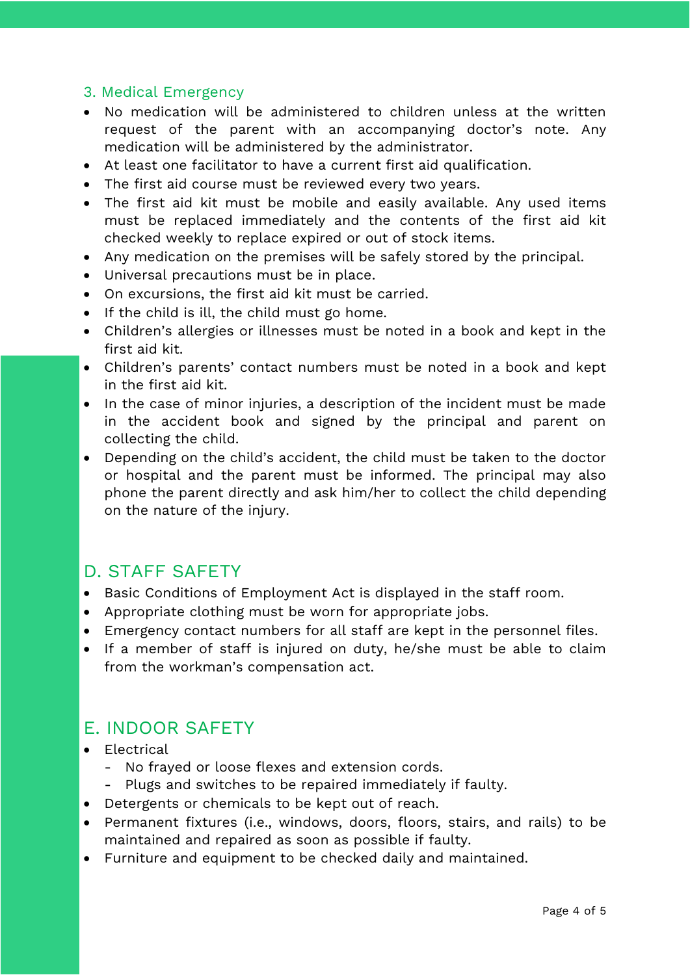#### <span id="page-3-0"></span>3. Medical Emergency

- No medication will be administered to children unless at the written request of the parent with an accompanying doctor's note. Any medication will be administered by the administrator.
- At least one facilitator to have a current first aid qualification.
- The first aid course must be reviewed every two years.
- The first aid kit must be mobile and easily available. Any used items must be replaced immediately and the contents of the first aid kit checked weekly to replace expired or out of stock items.
- Any medication on the premises will be safely stored by the principal.
- Universal precautions must be in place.
- On excursions, the first aid kit must be carried.
- If the child is ill, the child must go home.
- Children's allergies or illnesses must be noted in a book and kept in the first aid kit.
- Children's parents' contact numbers must be noted in a book and kept in the first aid kit.
- In the case of minor injuries, a description of the incident must be made in the accident book and signed by the principal and parent on collecting the child.
- Depending on the child's accident, the child must be taken to the doctor or hospital and the parent must be informed. The principal may also phone the parent directly and ask him/her to collect the child depending on the nature of the injury.

### <span id="page-3-1"></span>D. STAFF SAFETY

- Basic Conditions of Employment Act is displayed in the staff room.
- Appropriate clothing must be worn for appropriate jobs.
- Emergency contact numbers for all staff are kept in the personnel files.
- If a member of staff is injured on duty, he/she must be able to claim from the workman's compensation act.

### <span id="page-3-2"></span>E. INDOOR SAFETY

- Electrical
	- No frayed or loose flexes and extension cords.
	- Plugs and switches to be repaired immediately if faulty.
- Detergents or chemicals to be kept out of reach.
- Permanent fixtures (i.e., windows, doors, floors, stairs, and rails) to be maintained and repaired as soon as possible if faulty.
- Furniture and equipment to be checked daily and maintained.